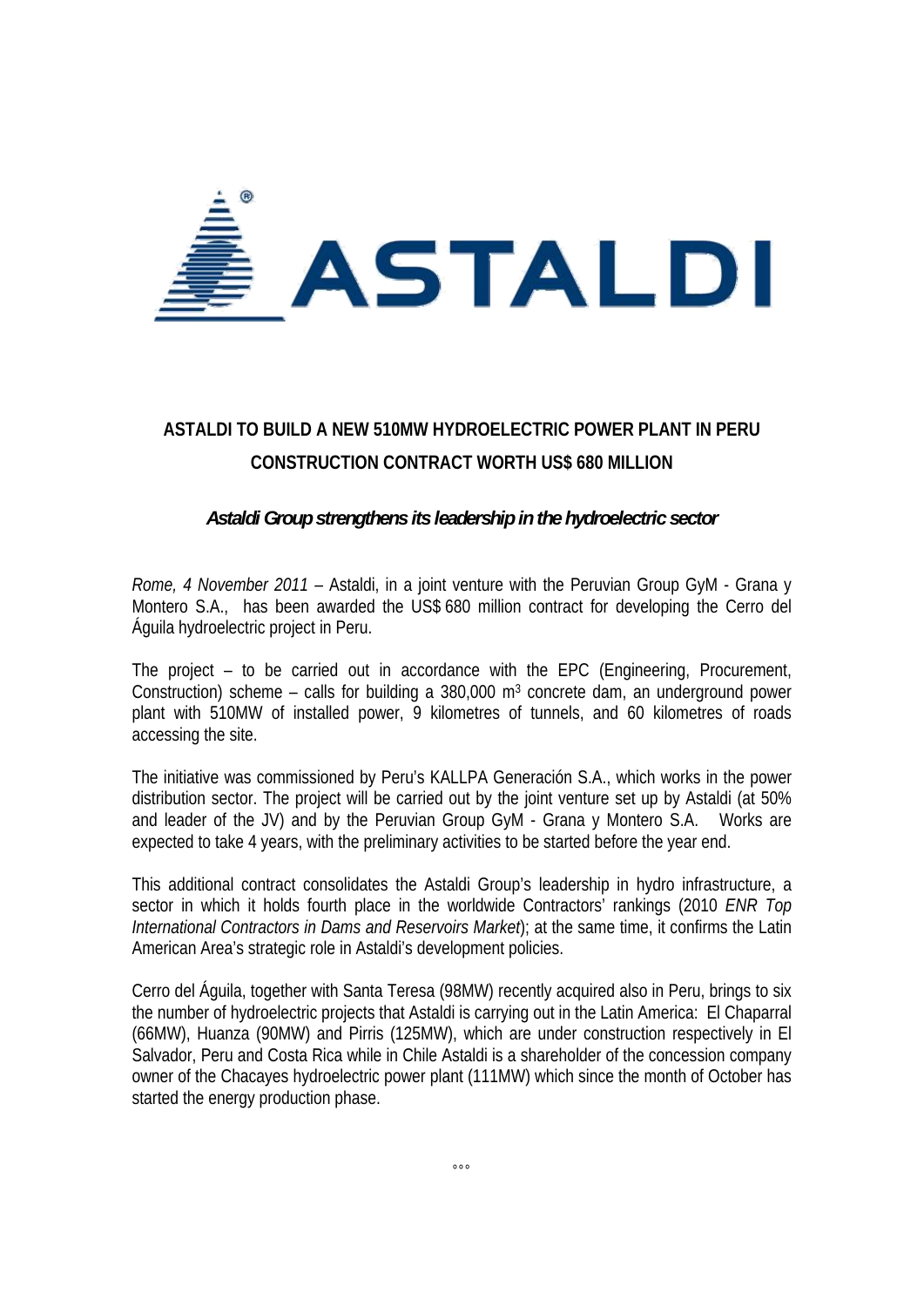

## **ASTALDI TO BUILD A NEW 510MW HYDROELECTRIC POWER PLANT IN PERU CONSTRUCTION CONTRACT WORTH US\$ 680 MILLION**

## *Astaldi Group strengthens its leadership in the hydroelectric sector*

*Rome, 4 November 2011* – Astaldi, in a joint venture with the Peruvian Group GyM - Grana y Montero S.A., has been awarded the US\$ 680 million contract for developing the Cerro del Águila hydroelectric project in Peru.

The project – to be carried out in accordance with the EPC (Engineering, Procurement, Construction) scheme – calls for building a 380,000 m<sup>3</sup> concrete dam, an underground power plant with 510MW of installed power, 9 kilometres of tunnels, and 60 kilometres of roads accessing the site.

The initiative was commissioned by Peru's KALLPA Generación S.A., which works in the power distribution sector. The project will be carried out by the joint venture set up by Astaldi (at 50% and leader of the JV) and by the Peruvian Group GyM - Grana y Montero S.A. Works are expected to take 4 years, with the preliminary activities to be started before the year end.

This additional contract consolidates the Astaldi Group's leadership in hydro infrastructure, a sector in which it holds fourth place in the worldwide Contractors' rankings (2010 *ENR Top International Contractors in Dams and Reservoirs Market*); at the same time, it confirms the Latin American Area's strategic role in Astaldi's development policies.

Cerro del Águila, together with Santa Teresa (98MW) recently acquired also in Peru, brings to six the number of hydroelectric projects that Astaldi is carrying out in the Latin America: El Chaparral (66MW), Huanza (90MW) and Pirris (125MW), which are under construction respectively in El Salvador, Peru and Costa Rica while in Chile Astaldi is a shareholder of the concession company owner of the Chacayes hydroelectric power plant (111MW) which since the month of October has started the energy production phase.